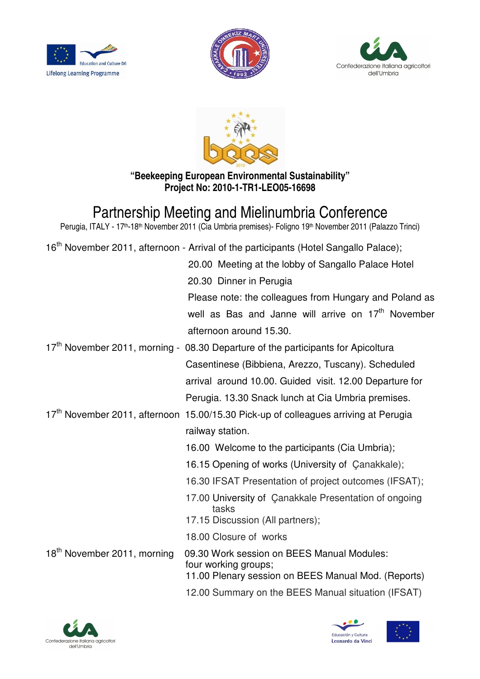







**"Beekeeping European Environmental Sustainability" Project No: 2010-1-TR1-LEO05-16698**

## Partnership Meeting and Mielinumbria Conference

Perugia, ITALY - 17<sup>th</sup>-18<sup>th</sup> November 2011 (Cia Umbria premises)- Foligno 19<sup>th</sup> November 2011 (Palazzo Trinci)

|                                         | 16 <sup>th</sup> November 2011, afternoon - Arrival of the participants (Hotel Sangallo Palace); |
|-----------------------------------------|--------------------------------------------------------------------------------------------------|
|                                         | 20.00 Meeting at the lobby of Sangallo Palace Hotel                                              |
|                                         | 20.30 Dinner in Perugia                                                                          |
|                                         | Please note: the colleagues from Hungary and Poland as                                           |
|                                         | well as Bas and Janne will arrive on 17 <sup>th</sup> November                                   |
|                                         | afternoon around 15.30.                                                                          |
|                                         | 17 <sup>th</sup> November 2011, morning - 08.30 Departure of the participants for Apicoltura     |
|                                         | Casentinese (Bibbiena, Arezzo, Tuscany). Scheduled                                               |
|                                         | arrival around 10.00. Guided visit. 12.00 Departure for                                          |
|                                         | Perugia. 13.30 Snack lunch at Cia Umbria premises.                                               |
|                                         | 17 <sup>th</sup> November 2011, afternoon 15.00/15.30 Pick-up of colleagues arriving at Perugia  |
|                                         | railway station.                                                                                 |
|                                         | 16.00 Welcome to the participants (Cia Umbria);                                                  |
|                                         | 16.15 Opening of works (University of Çanakkale);                                                |
|                                         | 16.30 IFSAT Presentation of project outcomes (IFSAT);                                            |
|                                         | 17.00 University of Çanakkale Presentation of ongoing<br>tasks                                   |
|                                         | 17.15 Discussion (All partners);                                                                 |
|                                         | 18.00 Closure of works                                                                           |
| 18 <sup>th</sup> November 2011, morning | 09.30 Work session on BEES Manual Modules:<br>four working groups;                               |
|                                         | 11.00 Plenary session on BEES Manual Mod. (Reports)                                              |
|                                         | 12.00 Summary on the BEES Manual situation (IFSAT)                                               |